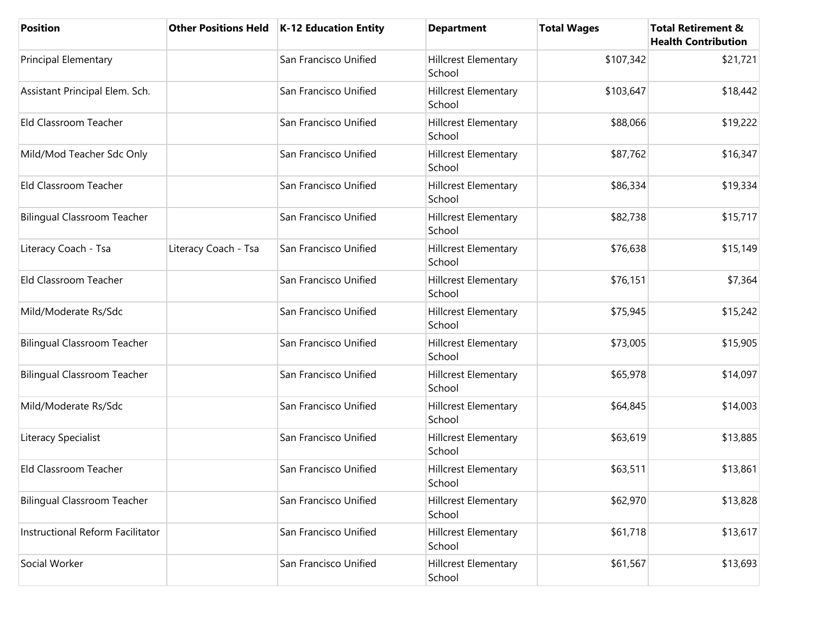| <b>Position</b>                    |                      | Other Positions Held   K-12 Education Entity | <b>Department</b>                     | <b>Total Wages</b> | <b>Total Retirement &amp;</b><br><b>Health Contribution</b> |
|------------------------------------|----------------------|----------------------------------------------|---------------------------------------|--------------------|-------------------------------------------------------------|
| <b>Principal Elementary</b>        |                      | San Francisco Unified                        | Hillcrest Elementary<br>School        | \$107,342          | \$21,721                                                    |
| Assistant Principal Elem. Sch.     |                      | San Francisco Unified                        | Hillcrest Elementary<br>School        | \$103,647          | \$18,442                                                    |
| Eld Classroom Teacher              |                      | San Francisco Unified                        | Hillcrest Elementary<br>School        | \$88,066           | \$19,222                                                    |
| Mild/Mod Teacher Sdc Only          |                      | San Francisco Unified                        | Hillcrest Elementary<br>School        | \$87,762           | \$16,347                                                    |
| Eld Classroom Teacher              |                      | San Francisco Unified                        | Hillcrest Elementary<br>School        | \$86,334           | \$19,334                                                    |
| <b>Bilingual Classroom Teacher</b> |                      | San Francisco Unified                        | <b>Hillcrest Elementary</b><br>School | \$82,738           | \$15,717                                                    |
| Literacy Coach - Tsa               | Literacy Coach - Tsa | San Francisco Unified                        | Hillcrest Elementary<br>School        | \$76,638           | \$15,149                                                    |
| Eld Classroom Teacher              |                      | San Francisco Unified                        | <b>Hillcrest Elementary</b><br>School | \$76,151           | \$7,364                                                     |
| Mild/Moderate Rs/Sdc               |                      | San Francisco Unified                        | Hillcrest Elementary<br>School        | \$75,945           | \$15,242                                                    |
| <b>Bilingual Classroom Teacher</b> |                      | San Francisco Unified                        | Hillcrest Elementary<br>School        | \$73,005           | \$15,905                                                    |
| <b>Bilingual Classroom Teacher</b> |                      | San Francisco Unified                        | Hillcrest Elementary<br>School        | \$65,978           | \$14,097                                                    |
| Mild/Moderate Rs/Sdc               |                      | San Francisco Unified                        | Hillcrest Elementary<br>School        | \$64,845           | \$14,003                                                    |
| Literacy Specialist                |                      | San Francisco Unified                        | Hillcrest Elementary<br>School        | \$63,619           | \$13,885                                                    |
| Eld Classroom Teacher              |                      | San Francisco Unified                        | Hillcrest Elementary<br>School        | \$63,511           | \$13,861                                                    |
| <b>Bilingual Classroom Teacher</b> |                      | San Francisco Unified                        | <b>Hillcrest Elementary</b><br>School | \$62,970           | \$13,828                                                    |
| Instructional Reform Facilitator   |                      | San Francisco Unified                        | Hillcrest Elementary<br>School        | \$61,718           | \$13,617                                                    |
| Social Worker                      |                      | San Francisco Unified                        | Hillcrest Elementary<br>School        | \$61,567           | \$13,693                                                    |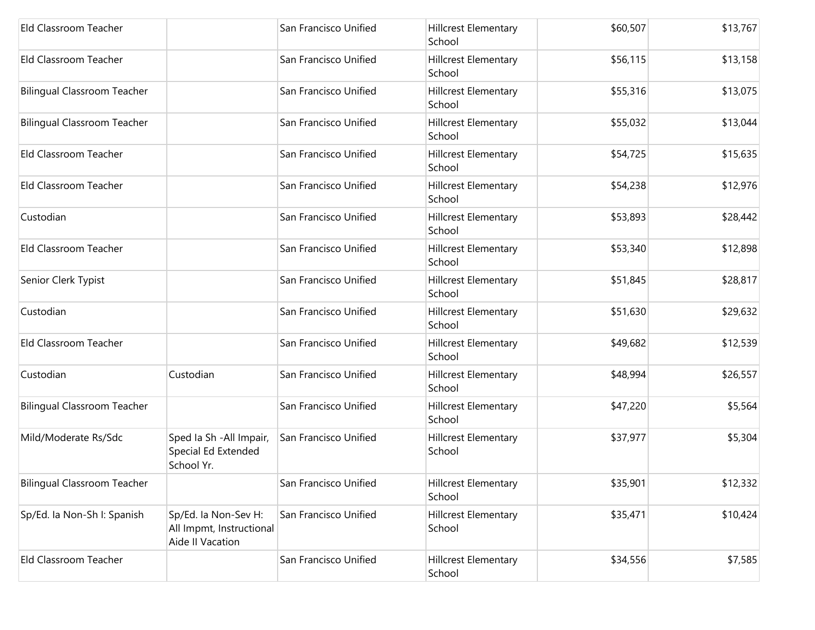| Eld Classroom Teacher              |                                                                      | San Francisco Unified | Hillcrest Elementary<br>School        | \$60,507 | \$13,767 |
|------------------------------------|----------------------------------------------------------------------|-----------------------|---------------------------------------|----------|----------|
| Eld Classroom Teacher              |                                                                      | San Francisco Unified | Hillcrest Elementary<br>School        | \$56,115 | \$13,158 |
| <b>Bilingual Classroom Teacher</b> |                                                                      | San Francisco Unified | <b>Hillcrest Elementary</b><br>School | \$55,316 | \$13,075 |
| <b>Bilingual Classroom Teacher</b> |                                                                      | San Francisco Unified | Hillcrest Elementary<br>School        | \$55,032 | \$13,044 |
| Eld Classroom Teacher              |                                                                      | San Francisco Unified | Hillcrest Elementary<br>School        | \$54,725 | \$15,635 |
| Eld Classroom Teacher              |                                                                      | San Francisco Unified | Hillcrest Elementary<br>School        | \$54,238 | \$12,976 |
| Custodian                          |                                                                      | San Francisco Unified | Hillcrest Elementary<br>School        | \$53,893 | \$28,442 |
| Eld Classroom Teacher              |                                                                      | San Francisco Unified | Hillcrest Elementary<br>School        | \$53,340 | \$12,898 |
| Senior Clerk Typist                |                                                                      | San Francisco Unified | Hillcrest Elementary<br>School        | \$51,845 | \$28,817 |
| Custodian                          |                                                                      | San Francisco Unified | Hillcrest Elementary<br>School        | \$51,630 | \$29,632 |
| Eld Classroom Teacher              |                                                                      | San Francisco Unified | <b>Hillcrest Elementary</b><br>School | \$49,682 | \$12,539 |
| Custodian                          | Custodian                                                            | San Francisco Unified | <b>Hillcrest Elementary</b><br>School | \$48,994 | \$26,557 |
| <b>Bilingual Classroom Teacher</b> |                                                                      | San Francisco Unified | Hillcrest Elementary<br>School        | \$47,220 | \$5,564  |
| Mild/Moderate Rs/Sdc               | Sped Ia Sh - All Impair,<br>Special Ed Extended<br>School Yr.        | San Francisco Unified | Hillcrest Elementary<br>School        | \$37,977 | \$5,304  |
| <b>Bilingual Classroom Teacher</b> |                                                                      | San Francisco Unified | Hillcrest Elementary<br>School        | \$35,901 | \$12,332 |
| Sp/Ed. la Non-Sh I: Spanish        | Sp/Ed. la Non-Sev H:<br>All Impmt, Instructional<br>Aide II Vacation | San Francisco Unified | Hillcrest Elementary<br>School        | \$35,471 | \$10,424 |
| Eld Classroom Teacher              |                                                                      | San Francisco Unified | Hillcrest Elementary<br>School        | \$34,556 | \$7,585  |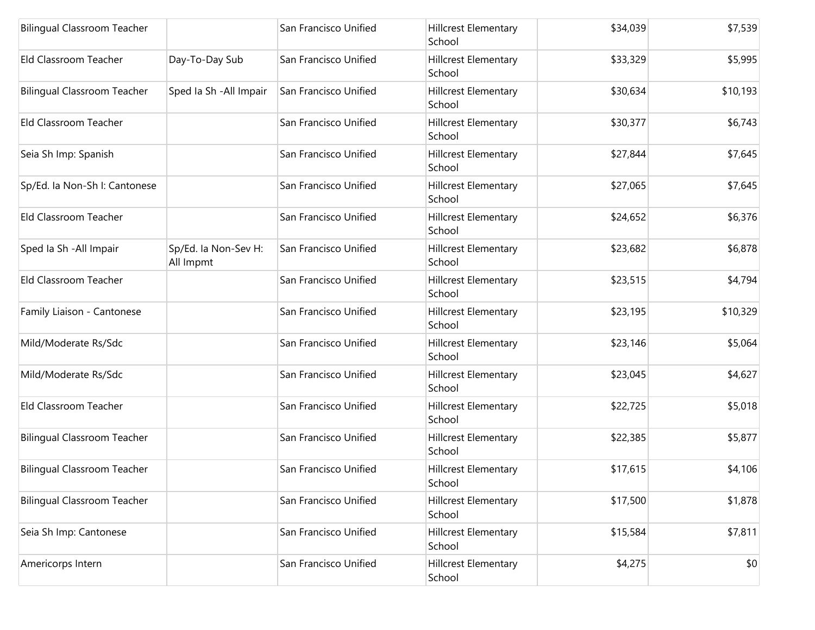| <b>Bilingual Classroom Teacher</b> |                                   | San Francisco Unified | Hillcrest Elementary<br>School        | \$34,039 | \$7,539  |
|------------------------------------|-----------------------------------|-----------------------|---------------------------------------|----------|----------|
| Eld Classroom Teacher              | Day-To-Day Sub                    | San Francisco Unified | Hillcrest Elementary<br>School        | \$33,329 | \$5,995  |
| <b>Bilingual Classroom Teacher</b> | Sped Ia Sh - All Impair           | San Francisco Unified | Hillcrest Elementary<br>School        | \$30,634 | \$10,193 |
| Eld Classroom Teacher              |                                   | San Francisco Unified | Hillcrest Elementary<br>School        | \$30,377 | \$6,743  |
| Seia Sh Imp: Spanish               |                                   | San Francisco Unified | Hillcrest Elementary<br>School        | \$27,844 | \$7,645  |
| Sp/Ed. la Non-Sh I: Cantonese      |                                   | San Francisco Unified | <b>Hillcrest Elementary</b><br>School | \$27,065 | \$7,645  |
| Eld Classroom Teacher              |                                   | San Francisco Unified | Hillcrest Elementary<br>School        | \$24,652 | \$6,376  |
| Sped Ia Sh - All Impair            | Sp/Ed. Ia Non-Sev H:<br>All Impmt | San Francisco Unified | Hillcrest Elementary<br>School        | \$23,682 | \$6,878  |
| Eld Classroom Teacher              |                                   | San Francisco Unified | Hillcrest Elementary<br>School        | \$23,515 | \$4,794  |
| Family Liaison - Cantonese         |                                   | San Francisco Unified | Hillcrest Elementary<br>School        | \$23,195 | \$10,329 |
| Mild/Moderate Rs/Sdc               |                                   | San Francisco Unified | <b>Hillcrest Elementary</b><br>School | \$23,146 | \$5,064  |
| Mild/Moderate Rs/Sdc               |                                   | San Francisco Unified | Hillcrest Elementary<br>School        | \$23,045 | \$4,627  |
| Eld Classroom Teacher              |                                   | San Francisco Unified | Hillcrest Elementary<br>School        | \$22,725 | \$5,018  |
| <b>Bilingual Classroom Teacher</b> |                                   | San Francisco Unified | Hillcrest Elementary<br>School        | \$22,385 | \$5,877  |
| <b>Bilingual Classroom Teacher</b> |                                   | San Francisco Unified | Hillcrest Elementary<br>School        | \$17,615 | \$4,106  |
| <b>Bilingual Classroom Teacher</b> |                                   | San Francisco Unified | <b>Hillcrest Elementary</b><br>School | \$17,500 | \$1,878  |
| Seia Sh Imp: Cantonese             |                                   | San Francisco Unified | Hillcrest Elementary<br>School        | \$15,584 | \$7,811  |
| Americorps Intern                  |                                   | San Francisco Unified | Hillcrest Elementary<br>School        | \$4,275  | \$0      |